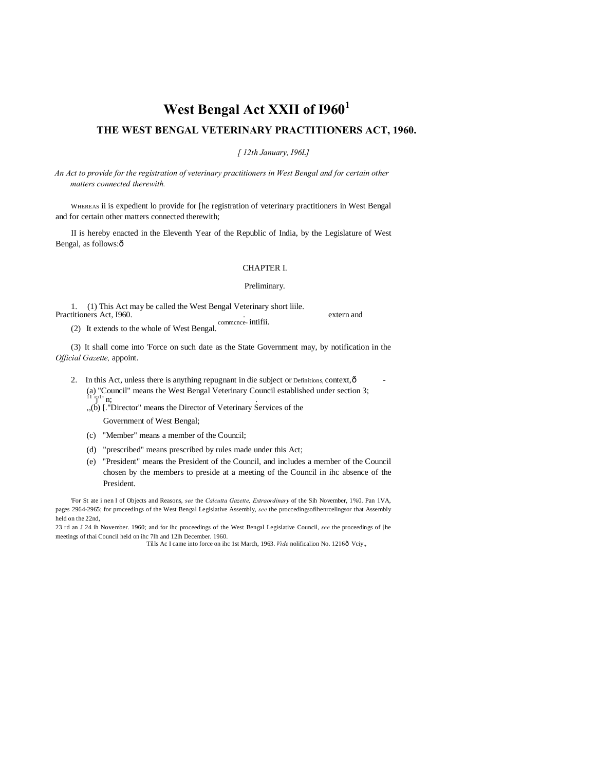# **West Bengal Act XXII of I960<sup>1</sup>**

# **THE WEST BENGAL VETERINARY PRACTITIONERS ACT, 1960.**

*[ 12th January, I96L]*

*An Act to provide for the registration of veterinary practitioners in West Bengal and for certain other matters connected therewith.*

WHEREAS ii is expedient lo provide for [he registration of veterinary practitioners in West Bengal and for certain other matters connected therewith;

II is hereby enacted in the Eleventh Year of the Republic of India, by the Legislature of West Bengal, as follows: $\hat{o}$ 

### CHAPTER I.

#### Preliminary.

1. (1) This Act may be called the West Bengal Veterinary short liile. Practitioners Act, 1960. **External** extern and the second section of the second section of the second section of the second section of the second section of the second section of the second section of the second section of

commcnce- intifii. (2) It extends to the whole of West Bengal.

(3) It shall come into 'Force on such date as the State Government may, by notification in the *Official Gazette,* appoint.

- 2. In this Act, unless there is anything repugnant in die subject or Definitions, context, ô (a) "Council" means the West Bengal Veterinary Council established under section 3;<br> $\frac{11}{3}$  'j<sup>-1</sup>' n;
	- $h(x)$ ,  $h(y)$  [."Director" means the Director of Veterinary Services of the

Government of West Bengal;

- (c) "Member" means a member of the Council;
- (d) "prescribed" means prescribed by rules made under this Act;
- (e) "President" means the President of the Council, and includes a member of the Council chosen by the members to preside at a meeting of the Council in ihc absence of the President.

'For St ate i nen l of Objects and Reasons, *see* the *Calcutta Gazette, Extraordinary* of the Sih November, 1%0. Pan 1VA, pages 2964-2965; for proceedings of the West Bengal Legislative Assembly, *see* the proccedingsoflhenrcelingsor that Assembly held on the 22nd,

23 rd an J 24 ih November. 1960; and for ihc proceedings of the West Bengal Legislative Council, *see* the proceedings of [he meetings of thai Council held on ihc 7lh and 12lh December. 1960.

Tills Ac I came into force on ihc 1st March, 1963. *Vide* nolificalion No. 1216ô Vciy.,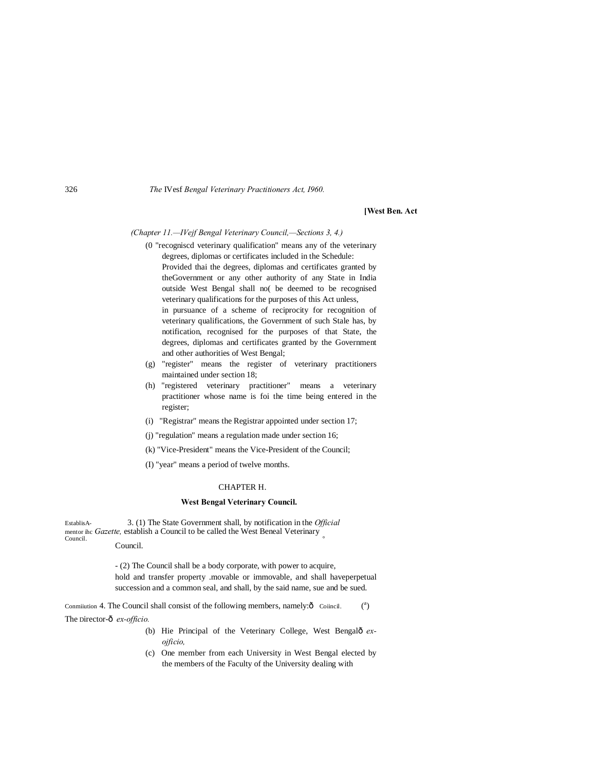326 *The* IVesf *Bengal Veterinary Practitioners Act, I960.*

#### **[West Ben. Act**

#### *(Chapter 11.—IVejf Bengal Veterinary Council,—Sections 3, 4.)*

(0 "recogniscd veterinary qualification" means any of the veterinary degrees, diplomas or certificates included in the Schedule:

Provided thai the degrees, diplomas and certificates granted by theGovernment or any other authority of any State in India outside West Bengal shall no( be deemed to be recognised veterinary qualifications for the purposes of this Act unless,

in pursuance of a scheme of reciprocity for recognition of veterinary qualifications, the Government of such Stale has, by notification, recognised for the purposes of that State, the degrees, diplomas and certificates granted by the Government and other authorities of West Bengal;

- (g) "register" means the register of veterinary practitioners maintained under section 18;
- (h) "registered veterinary practitioner" means a veterinary practitioner whose name is foi the time being entered in the register;
- (i) "Registrar" means the Registrar appointed under section 17;
- (j) "regulation" means a regulation made under section 16;
- (k) "Vice-President" means the Vice-President of the Council;
- (I) "year" means a period of twelve months.

#### CHAPTER H.

#### **West Bengal Veterinary Council.**

EstablisA- 3. (1) The State Government shall, by notification in the *Official* mentor ihc *Gazette*, establish a Council to be called the West Beneal Veterinary Council. Council. Council.

> - (2) The Council shall be a body corporate, with power to acquire, hold and transfer property .movable or immovable, and shall haveperpetual succession and a common seal, and shall, by the said name, sue and be sued.

Conmiiution 4. The Council shall consist of the following members, namely: $\hat{o}$  Coiincil. <sup>a</sup> The Director- $\hat{\text{o}}$  *ex-officio.* 

- (b) Hie Principal of the Veterinary College, West Bengalô ex*ojficio,*
- (c) One member from each University in West Bengal elected by the members of the Faculty of the University dealing with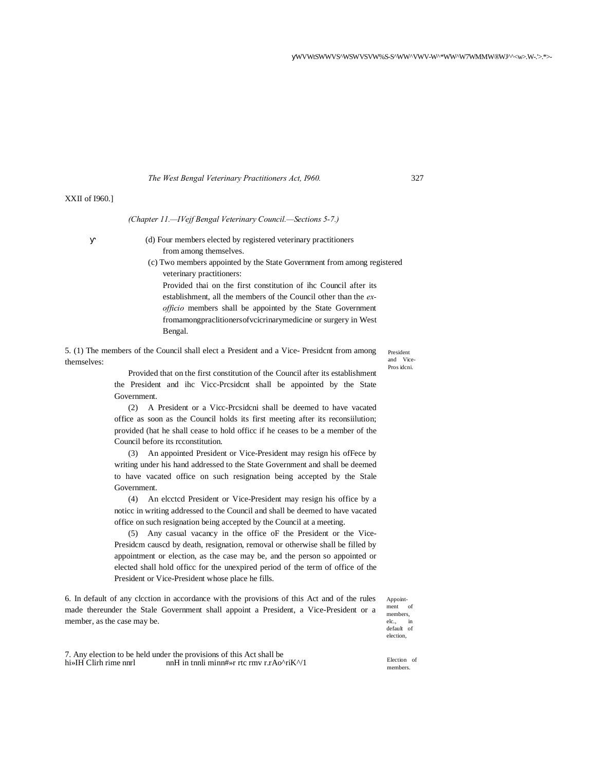*The West Bengal Veterinary Practitioners Act, I960.* 327

# XXII of I960.]

*(Chapter 11.—IVejf Bengal Veterinary Council.—Sections 5-7.)*

- (d) Four members elected by registered veterinary practitioners from among themselves.
- (c) Two members appointed by the State Government from among registered veterinary practitioners:

Provided thai on the first constitution of ihc Council after its establishment, all the members of the Council other than the *exofficio* members shall be appointed by the State Government fromamongpraclitionersofvcicrinarymedicine or surgery in West Bengal.

5. (1) The members of the Council shall elect a President and a Vice- Presidcnt from among themselves:

President and Vice-Pros idcni.

Provided that on the first constitution of the Council after its establishment the President and ihc Vicc-Prcsidcnt shall be appointed by the State Government.

(2) A President or a Vicc-Prcsidcni shall be deemed to have vacated office as soon as the Council holds its first meeting after its reconsiilution; provided (hat he shall cease to hold officc if he ceases to be a member of the Council before its rcconstitution.

(3) An appointed President or Vice-President may resign his ofFece by writing under his hand addressed to the State Government and shall be deemed to have vacated office on such resignation being accepted by the Stale Government.

(4) An elcctcd President or Vice-President may resign his office by a noticc in writing addressed to the Council and shall be deemed to have vacated office on such resignation being accepted by the Council at a meeting.

(5) Any casual vacancy in the office oF the President or the Vice-Presidcm causcd by death, resignation, removal or otherwise shall be filled by appointment or election, as the case may be, and the person so appointed or elected shall hold officc for the unexpired period of the term of office of the President or Vice-President whose place he fills.

6. In default of any clcction in accordance with the provisions of this Act and of the rules made thereunder the Stale Government shall appoint a President, a Vice-President or a member, as the case may be.

Appointment of members, elc., default of election,

7. Any election to be held under the provisions of this Act shall be hi»IH Clirk rime nnrl  $mH$  in the minimum  $mH$  in the minimum  $r.Ao^{\alpha}$ nnH in tnnli minn#»r rtc rmv r.rAo^riK^/1

Election of members.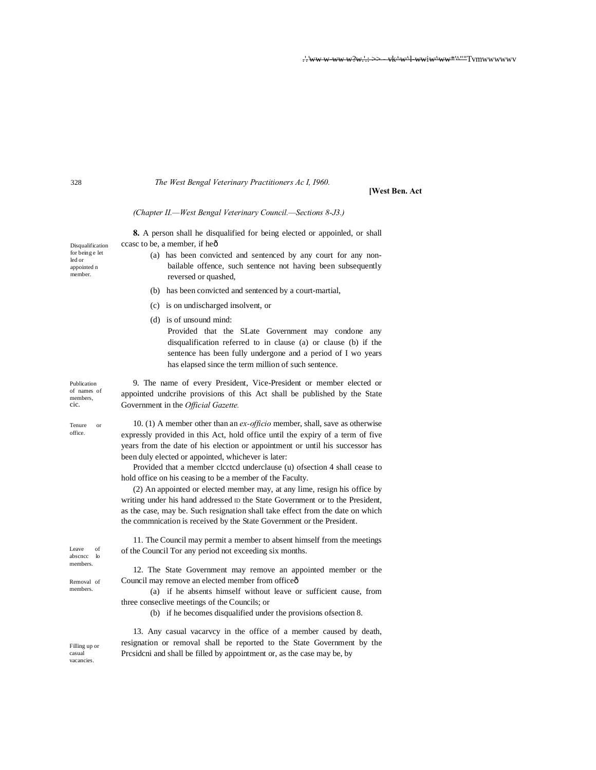*The West Bengal Veterinary Practitioners Ac I, I960.*

# **[West Ben. Act**

*(Chapter II.—West Bengal Veterinary Council.—Sections 8-J3.)*

Publication members. Removal of Filling up or Disqualification **8.** A person shall he disqualified for being elected or appoinled, or shall ccasc to be, a member, if heô (a) has been convicted and sentenced by any court for any nonbailable offence, such sentence not having been subsequently reversed or quashed, (b) has been convicted and sentenced by a court-martial, (c) is on undischarged insolvent, or (d) is of unsound mind: Provided that the SLate Government may condone any disqualification referred to in clause (a) or clause (b) if the sentence has been fully undergone and a period of I wo years has elapsed since the term million of such sentence. 9. The name of every President, Vice-President or member elected or appointed undcrihe provisions of this Act shall be published by the State Government in the *Official Gazette.* 10. (1) A member other than an *ex-officio* member, shall, save as otherwise expressly provided in this Act, hold office until the expiry of a term of five years from the date of his election or appointment or until his successor has been duly elected or appointed, whichever is later: Provided that a member clcctcd underclause (u) ofsection 4 shall cease to hold office on his ceasing to be a member of the Faculty. (2) An appointed or elected member may, at any lime, resign his office by writing under his hand addressed ID the State Government or to the President, as the case, may be. Such resignation shall take effect from the date on which the commnication is received by the State Government or the President. 11. The Council may permit a member to absent himself from the meetings of the Council Tor any period not exceeding six months. 12. The State Government may remove an appointed member or the Council may remove an elected member from officeô (a) if he absents himself without leave or sufficient cause, from three conseclive meetings of the Councils; or (b) if he becomes disqualified under the provisions ofsection 8. 13. Any casual vacarvcy in the office of a member caused by death, resignation or removal shall be reported to the State Government by the Prcsidcni and shall be filled by appointment or, as the case may be, by

for being e let led or appointed n member.

of names of members, cic.

Tenure or office.

Leave of abscncc lo

members.

casual vacancies.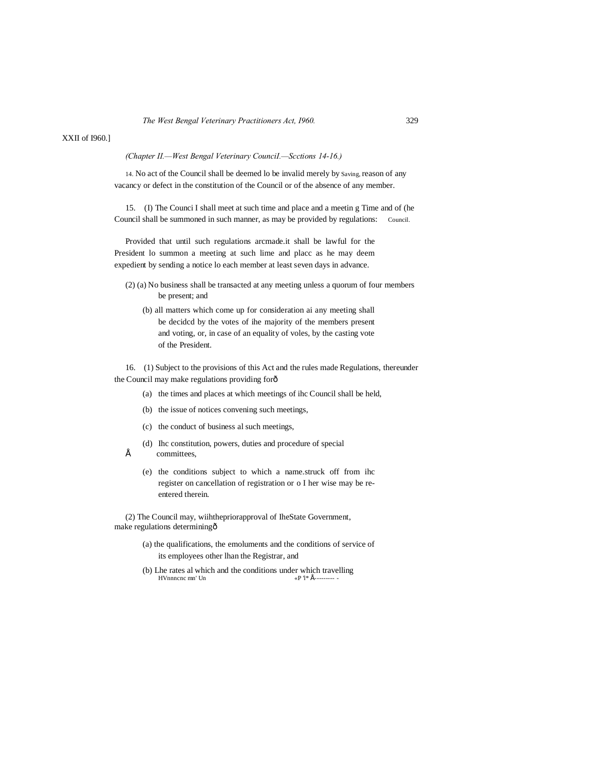#### *(Chapter II.—West Bengal Veterinary CounciI.—Scctions 14-16.)*

14. No act of the Council shall be deemed lo be invalid merely by Saving, reason of any vacancy or defect in the constitution of the Council or of the absence of any member.

15. (I) The Counci I shall meet at such time and place and a meetin g Time and of (he Council shall be summoned in such manner, as may be provided by regulations: Council.

Provided that until such regulations arcmade.it shall be lawful for the President lo summon a meeting at such lime and placc as he may deem expedient by sending a notice lo each member at least seven days in advance.

- (2) (a) No business shall be transacted at any meeting unless a quorum of four members be present; and
	- (b) all matters which come up for consideration ai any meeting shall be decidcd by the votes of ihe majority of the members present and voting, or, in case of an equality of voles, by the casting vote of the President.

16. (1) Subject to the provisions of this Act and the rules made Regulations, thereunder the Council may make regulations providing forô

- (a) the times and places at which meetings of ihc Council shall be held,
- (b) the issue of notices convening such meetings,
- (c) the conduct of business al such meetings,
- (d) Ihc constitution, powers, duties and procedure of special
- committees,
	- (e) the conditions subject to which a name.struck off from ihc register on cancellation of registration or o I her wise may be reentered therein.

(2) The Council may, wiihthepriorapproval of IheState Government, make regulations determining—

- (a) the qualifications, the emoluments and the conditions of service of its employees other lhan the Registrar, and
- (b) Lhe rates al which and the conditions under which travelling HVnnncnc mn' Un  $\alpha P$  1\* É---------HVnnncnc mn' Un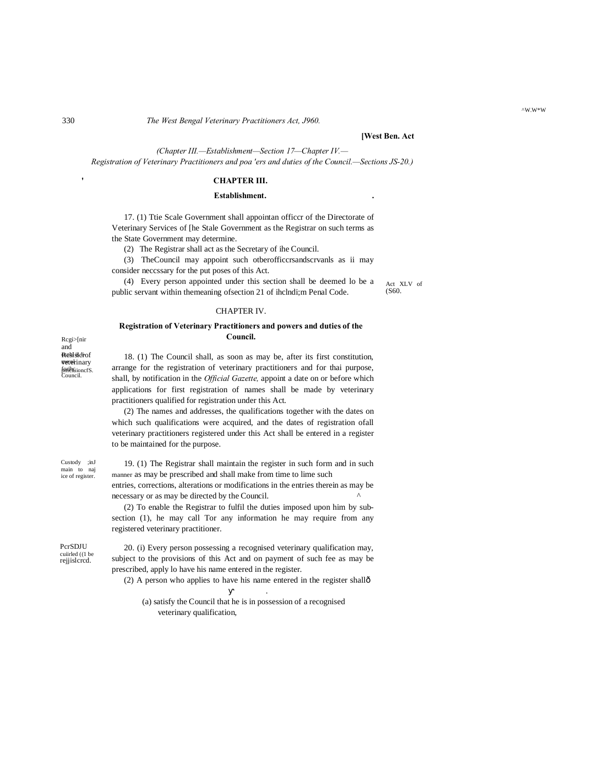330 *The West Bengal Veterinary Practitioners Act, J960.*

# **[West Ben. Act**

*(Chapter III.—Establishment—Section 17—Chapter IV.— Registration of Veterinary Practitioners and poa 'ers and duties of the Council.—Sections JS-20.)*

# **CHAPTER III.**

# **Establishment. .**

17. (1) Ttie Scale Government shall appointan officcr of the Directorate of Veterinary Services of [he Stale Government as the Registrar on such terms as the State Government may determine.

(2) The Registrar shall act as the Secretary of ihe Council.

(3) TheCouncil may appoint such otberofficcrsandscrvanls as ii may consider neccssary for the put poses of this Act.

(4) Every person appointed under this section shall be deemed lo be a public servant within themeaning ofsection 21 of ihclndi;m Penal Code.

#### CHAPTER IV.

# **Registration of Veterinary Practitioners and powers and duties of the Council.**

Resistdrof **vete**rinary f<del>onth</del>uioncfS.<br>Council. Rcgi>[nir and

18. (1) The Council shall, as soon as may be, after its first constitution, arrange for the registration of veterinary practitioners and for thai purpose, shall, by notification in the *Official Gazette,* appoint a date on or before which applications for first registration of names shall be made by veterinary practitioners qualified for registration under this Act.

(2) The names and addresses, the qualifications together with the dates on which such qualifications were acquired, and the dates of registration ofall veterinary practitioners registered under this Act shall be entered in a register to be maintained for the purpose.

Custody ;inJ main to naj ice of register.

19. (1) The Registrar shall maintain the register in such form and in such manner as may be prescribed and shall make from time to lime such entries, corrections, alterations or modifications in the entries therein as may be

necessary or as may be directed by the Council. (2) To enable the Registrar to fulfil the duties imposed upon him by subsection (1), he may call Tor any information he may require from any registered veterinary practitioner.

PcrSDJU cuiirled ((1 be rejiislcrcd.

20. (i) Every person possessing a recognised veterinary qualification may, subject to the provisions of this Act and on payment of such fee as may be prescribed, apply lo have his name entered in the register.

(2) A person who applies to have his name entered in the register shallô

.

(a) satisfy the Council that he is in possession of a recognised veterinary qualification,

**'**

Act XLV of (S60.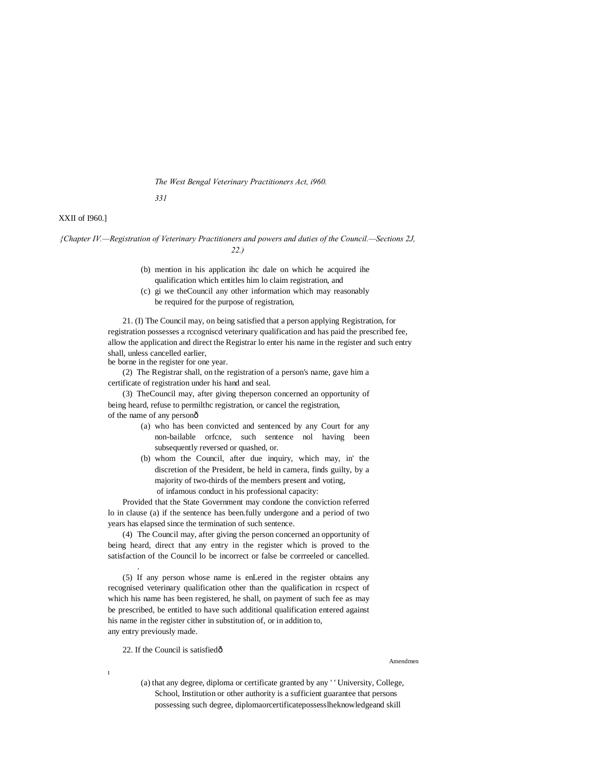#### *The West Bengal Veterinary Practitioners Act, i960.*

*331*

# XXII of I960.]

*{Chapter IV.—Registration of Veterinary Practitioners and powers and duties of the Council.—Sections 2J, 22.)*

- (b) mention in his application ihc dale on which he acquired ihe qualification which entitles him lo claim registration, and
- (c) gi we theCouncil any other information which may reasonably be required for the purpose of registration,

21. (I) The Council may, on being satisfied that a person applying Registration, for registration possesses a rccogniscd veterinary qualification and has paid the prescribed fee, allow the application and direct the Registrar lo enter his name in the register and such entry shall, unless cancelled earlier,

be borne in the register for one year.

(2) The Registrar shall, on the registration of a person's name, gave him a certificate of registration under his hand and seal.

(3) TheCouncil may, after giving theperson concerned an opportunity of being heard, refuse to permilthc registration, or cancel the registration, of the name of any personô

- (a) who has been convicted and sentenced by any Court for any non-bailable orfcnce, such sentence nol having been subsequently reversed or quashed, or.
- (b) whom the Council, after due inquiry, which may, in' the discretion of the President, be held in camera, finds guilty, by a majority of two-thirds of the members present and voting, of infamous conduct in his professional capacity:

Provided that the State Government may condone the conviction referred lo in clause (a) if the sentence has been.fully undergone and a period of two years has elapsed since the termination of such sentence.

(4) The Council may, after giving the person concerned an opportunity of being heard, direct that any entry in the register which is proved to the satisfaction of the Council lo be incorrect or false be corrreeled or cancelled.

(5) If any person whose name is enLered in the register obtains any recognised veterinary qualification other than the qualification in rcspect of which his name has been registered, he shall, on payment of such fee as may be prescribed, be entitled to have such additional qualification entered against his name in the register cither in substitution of, or in addition to, any entry previously made.

# 22. If the Council is satisfiedô

.

t

Amendmen

(a) that any degree, diploma or certificate granted by any ' ' University, College, School, Institution or other authority is a sufficient guarantee that persons possessing such degree, diplomaorcertificatepossesslheknowledgeand skill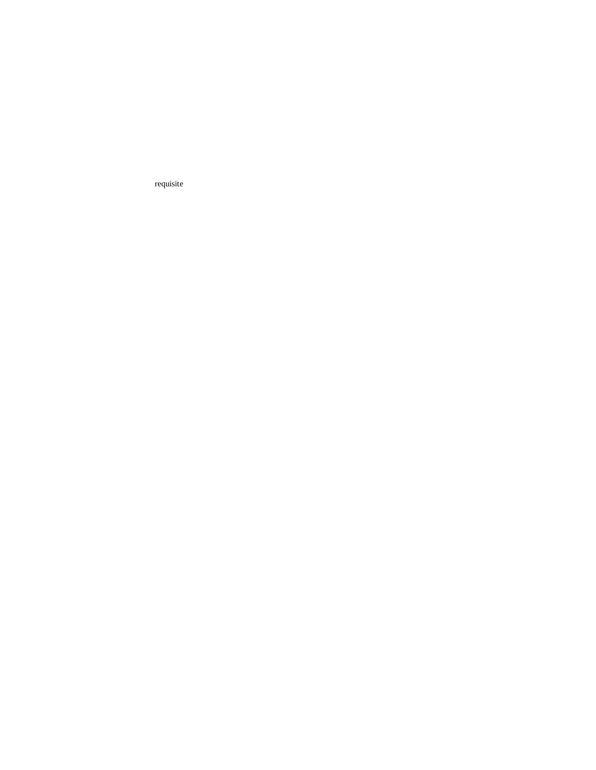requisite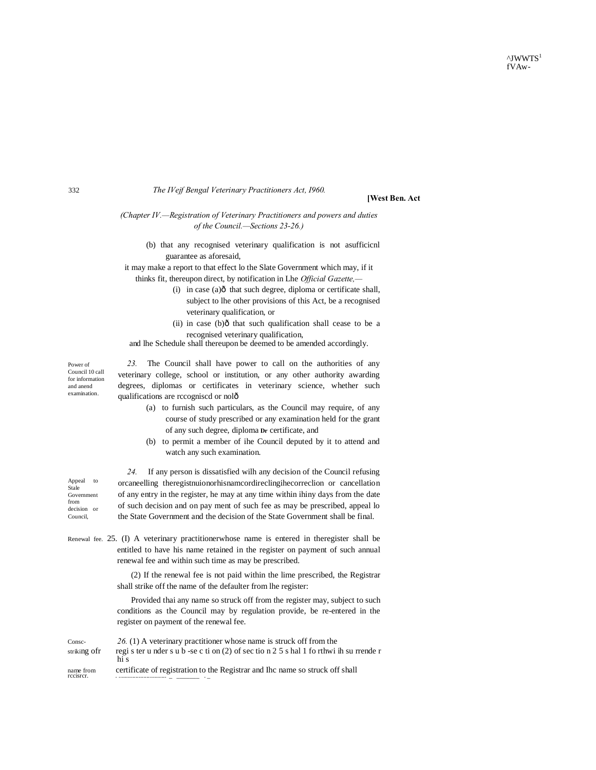$^{\wedge}$ JWWTS<sup>1</sup> fVAw-

# *The IVejf Bengal Veterinary Practitioners Act, I960.*

#### **[West Ben. Act**

*(Chapter IV.—Registration of Veterinary Practitioners and powers and duties of the Council.—Sections 23-26.)*

(b) that any recognised veterinary qualification is not asufficicnl guarantee as aforesaid,

it may make a report to that effect lo the Slate Government which may, if it thinks fit, thereupon direct, by notification in Lhe *Official Gazette,—*

- (i) in case (a) $\hat{o}$  that such degree, diploma or certificate shall, subject to lhe other provisions of this Act, be a recognised veterinary qualification, or
- (ii) in case  $(b)$  that such qualification shall cease to be a recognised veterinary qualification,

and lhe Schedule shall thereupon be deemed to be amended accordingly.

*23.* The Council shall have power to call on the authorities of any veterinary college, school or institution, or any other authority awarding degrees, diplomas or certificates in veterinary science, whether such qualifications are rccogniscd or nolô

- (a) to furnish such particulars, as the Council may require, of any course of study prescribed or any examination held for the grant of any such degree, diploma **Dr** certificate, and
- (b) to permit a member of ihe Council deputed by it to attend and watch any such examination.

*24.* If any person is dissatisfied wilh any decision of the Council refusing orcaneelling theregistnuionorhisnamcordireclingihecorreclion or cancellation of any entry in the register, he may at any time within ihiny days from the date of such decision and on pay ment of such fee as may be prescribed, appeal lo the State Government and the decision of the State Government shall be final.

Renewal fee. 25. (I) A veterinary practitionerwhose name is entered in theregister shall be entitled to have his name retained in the register on payment of such annual renewal fee and within such time as may be prescribed.

> (2) If the renewal fee is not paid within the lime prescribed, the Registrar shall strike off the name of the defaulter from lhe register:

> Provided thai any name so struck off from the register may, subject to such conditions as the Council may by regulation provide, be re-entered in the register on payment of the renewal fee.

| Consc-                 | 26. (1) A veterinary practitioner whose name is struck off from the                      |
|------------------------|------------------------------------------------------------------------------------------|
| striking of r          | register under sub-se c ti on (2) of section 2.5 s hall 1 for thwi in surfered r<br>hi s |
| name from<br>recisrer. | certificate of registration to the Registrar and Inc name so struck off shall            |

Power of Council 10 call for information and anend examination.

Appeal to Stale Government from decision or Council,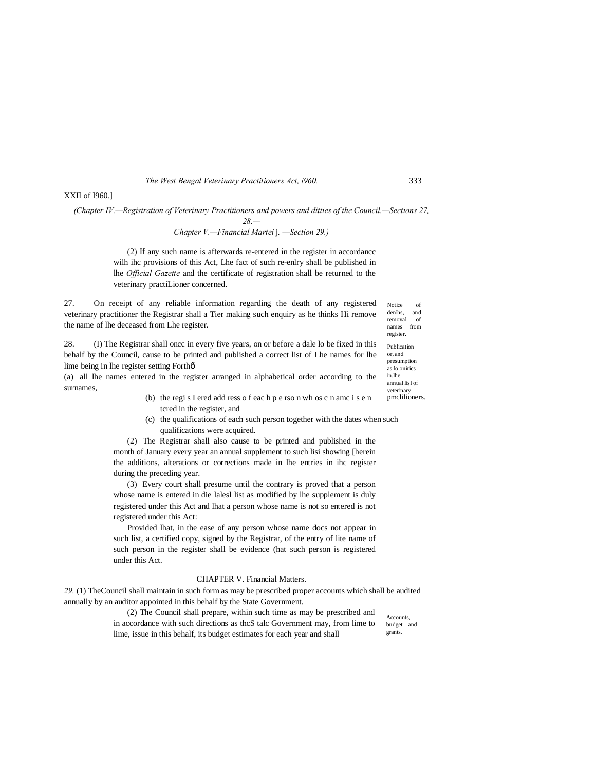*The West Bengal Veterinary Practitioners Act, i960.* 333

# XXII of I960.]

*(Chapter IV.—Registration of Veterinary Practitioners and powers and ditties of the Council.—Sections 27,* 

*28.—*

*Chapter V.—Financial Martei* j*. —Section 29.)*

(2) If any such name is afterwards re-entered in the register in accordancc wilh ihc provisions of this Act, Lhe fact of such re-enlry shall be published in lhe *Official Gazette* and the certificate of registration shall be returned to the veterinary practiLioner concerned.

27. On receipt of any reliable information regarding the death of any registered veterinary practitioner the Registrar shall a Tier making such enquiry as he thinks Hi remove the name of lhe deceased from Lhe register.

28. (I) The Registrar shall oncc in every five years, on or before a dale lo be fixed in this behalf by the Council, cause to be printed and published a correct list of Lhe names for lhe lime being in lhe register setting Forth—

(a) all lhe names entered in the register arranged in alphabetical order according to the surnames,

- (b) the regi s I ered add ress o f eac h p e rso n wh os c n amc i s e n tcred in the register, and
- (c) the qualifications of each such person together with the dates when such qualifications were acquired.

(2) The Registrar shall also cause to be printed and published in the month of January every year an annual supplement to such lisi showing [herein the additions, alterations or corrections made in lhe entries in ihc register during the preceding year.

(3) Every court shall presume until the contrary is proved that a person whose name is entered in die lalesl list as modified by lhe supplement is duly registered under this Act and lhat a person whose name is not so entered is not registered under this Act:

Provided lhat, in the ease of any person whose name docs not appear in such list, a certified copy, signed by the Registrar, of the entry of lite name of such person in the register shall be evidence (hat such person is registered under this Act.

#### CHAPTER V. Financial Matters.

*29.* (1) TheCouncil shall maintain in such form as may be prescribed proper accounts which shall be audited annually by an auditor appointed in this behalf by the State Government.

> (2) The Council shall prepare, within such time as may be prescribed and in accordance with such directions as thcS talc Government may, from lime to lime, issue in this behalf, its budget estimates for each year and shall

Accounts, budget and grants.

Notice of<br>denlhs. and denlhs. removal of names from register. Publication or, and presumption as lo onirics in.lhe annual lisl of veterinary pmclilioners.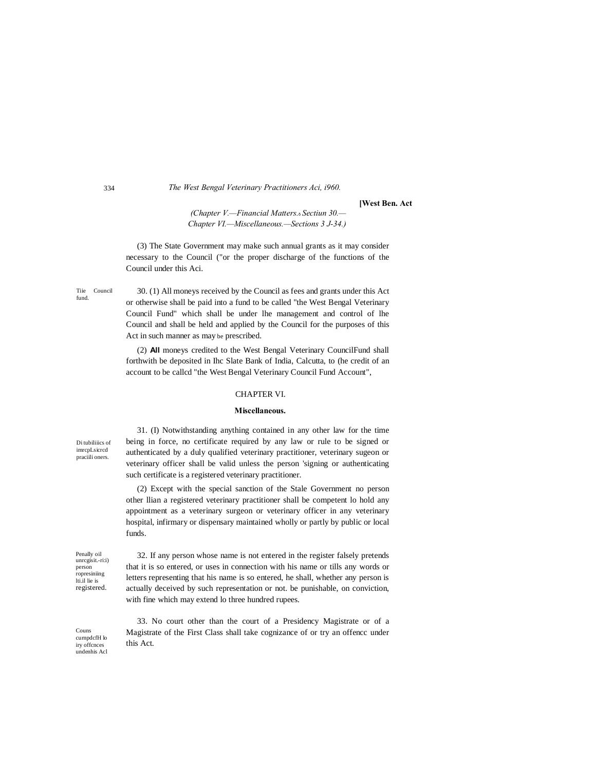# *The West Bengal Veterinary Practitioners Aci, i960.*

#### **[West Ben. Act**

*(Chapter V.—Financial Matters.*—*Sectiun 30.— Chapter VI.—Miscellaneous.—Sections 3 J-34.)*

(3) The State Government may make such annual grants as it may consider necessary to the Council ("or the proper discharge of the functions of the Council under this Aci.

Tiie Council fund.

30. (1) All moneys received by the Council as fees and grants under this Act or otherwise shall be paid into a fund to be called "the West Bengal Veterinary Council Fund" which shall be under lhe management and control of lhe Council and shall be held and applied by the Council for the purposes of this Act in such manner as may be prescribed.

(2) **All** moneys credited to the West Bengal Veterinary CouncilFund shall forthwith be deposited in Ihc Slate Bank of India, Calcutta, to (he credit of an account to be callcd "the West Bengal Veterinary Council Fund Account",

### CHAPTER VI.

# **Miscellaneous.**

Di tubiliiics of imrcpLsicrcd praciili oners.

31. (I) Notwithstanding anything contained in any other law for the time being in force, no certificate required by any law or rule to be signed or authenticated by a duly qualified veterinary practitioner, veterinary sugeon or veterinary officer shall be valid unless the person 'signing or authenticating such certificate is a registered veterinary practitioner.

(2) Except with the special sanction of the Stale Government no person other llian a registered veterinary practitioner shall be competent lo hold any appointment as a veterinary surgeon or veterinary officer in any veterinary hospital, infirmary or dispensary maintained wholly or partly by public or local funds.

Penally oil unrcgisit.-ri:i) person ropresiniing lti.il lie is registered.

32. If any person whose name is not entered in the register falsely pretends that it is so entered, or uses in connection with his name or tills any words or letters representing that his name is so entered, he shall, whether any person is actually deceived by such representation or not. be punishable, on conviction, with fine which may extend lo three hundred rupees.

Couns curnpdcfH lo iry offcnces ,<br>ndenhis Acl

33. No court other than the court of a Presidency Magistrate or of a Magistrate of the First Class shall take cognizance of or try an offencc under this Act.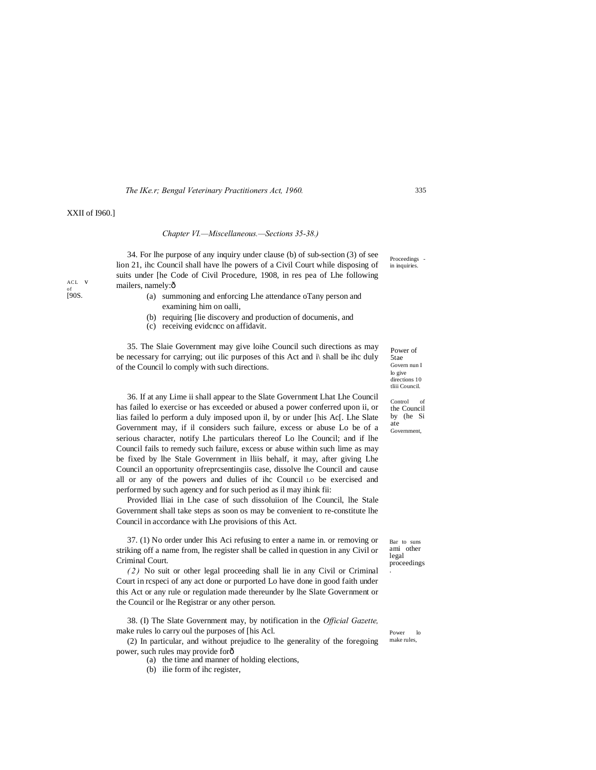#### *The IKe.r; Bengal Veterinary Practitioners Act, 1960.*

# XXII of I960.]

ACL v <sub>of</sub><br>[90**S**.

#### *Chapter VI.—Miscellaneous.—Sections 35-38.)*

34. For lhe purpose of any inquiry under clause (b) of sub-section (3) of see lion 21, ihc Council shall have lhe powers of a Civil Court while disposing of suits under [he Code of Civil Procedure, 1908, in res pea of Lhe following mailers, namely:ô

- (a) summoning and enforcing Lhe attendance oTany person and examining him on oalli,
- (b) requiring [lie discovery and production of documenis, and
- (c) receiving evidcncc on affidavit.

35. The Slaie Government may give loihe Council such directions as may be necessary for carrying; out ilic purposes of this Act and i\ shall be ihc duly of the Council lo comply with such directions.

36. If at any Lime ii shall appear to the Slate Government Lhat Lhe Council has failed lo exercise or has exceeded or abused a power conferred upon ii, or lias failed lo perform a duly imposed upon il, by or under [his Ac[. Lhe Slate Government may, if il considers such failure, excess or abuse Lo be of a serious character, notify Lhe particulars thereof Lo lhe Council; and if lhe Council fails to remedy such failure, excess or abuse within such lime as may be fixed by lhe Stale Government in lliis behalf, it may, after giving Lhe Council an opportunity ofreprcsentingiis case, dissolve lhe Council and cause all or any of the powers and dulies of ihc Council LO be exercised and performed by such agency and for such period as il may ihink fii:

Provided lliai in Lhe case of such dissoluiion of lhe Council, lhe Stale Government shall take steps as soon os may be convenient to re-constitute lhe Council in accordance with Lhe provisions of this Act.

37. (1) No order under Ihis Aci refusing to enter a name in. or removing or striking off a name from, lhe register shall be called in question in any Civil or Criminal Court.

*( 2 )* No suit or other legal proceeding shall lie in any Civil or Criminal Court in rcspeci of any act done or purported Lo have done in good faith under this Act or any rule or regulation made thereunder by lhe Slate Government or the Council or lhe Registrar or any other person.

38. (I) The Slate Government may, by notification in the *Official Gazette,* make rules lo carry oul the purposes of [his Acl.

(2) In particular, and without prejudice to lhe generality of the foregoing power, such rules may provide for—

- (a) the time and manner of holding elections,
- (b) ilie form of ihc register,

Power of 5tae Govern nun I lo give directions 10 tliii Council.

Control of the Council by (he Si ate Government,

Bar to suns ami other legal proceedings .

Power lo make rules,

335

 $\mbox{Proceedings}$ in inquiries.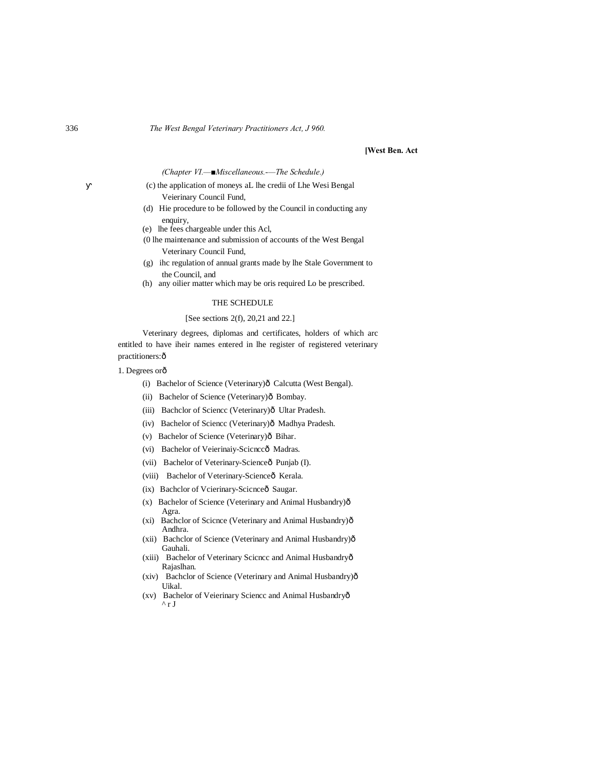### **[West Ben. Act**

*(Chapter VI.—■Miscellaneous.-—The Schedule.)*

- (c) the application of moneys aL lhe credii of Lhe Wesi Bengal Veierinary Council Fund,
- (d) Hie procedure to be followed by the Council in conducting any enquiry,
- (e) lhe fees chargeable under this Acl,
- (0 lhe maintenance and submission of accounts of the West Bengal Veterinary Council Fund,
- (g) ihc regulation of annual grants made by lhe Stale Government to the Council, and
- (h) any oilier matter which may be oris required Lo be prescribed.

# THE SCHEDULE

#### [See sections 2(f), 20,21 and 22.]

Veterinary degrees, diplomas and certificates, holders of which arc entitled to have iheir names entered in lhe register of registered veterinary practitioners: ô

- 1. Degrees orô
	- (i) Bachelor of Science (Veterinary) $\hat{o}$  Calcutta (West Bengal).
	- (ii) Bachelor of Science (Veterinary) $\hat{o}$  Bombay.
	- (iii) Bachclor of Sciencc (Veterinary) $\hat{0}$  Ultar Pradesh.
	- (iv) Bachelor of Sciencc (Veterinary) $\hat{0}$  Madhya Pradesh.
	- (v) Bachelor of Science (Veterinary) $\hat{\sigma}$  Bihar.
	- (vi) Bachelor of Veierinaiy-Scicnccô Madras.
	- (vii) Bachelor of Veterinary-Scienceô Punjab (I).
	- (viii) Bachelor of Veterinary-Scienceô Kerala.
	- (ix) Bachclor of Vcierinary-Scicnceô Saugar.
	- (x) Bachelor of Science (Veterinary and Animal Husbandry) $\hat{o}$ Agra.
	- (xi) Bachclor of Scicnce (Veterinary and Animal Husbandry) $\hat{o}$ Andhra.
	- (xii) Bachclor of Science (Veterinary and Animal Husbandry) $\hat{o}$ Gauhali.
	- (xiii) Bachelor of Veterinary Scicncc and Animal Husbandryô Rajaslhan.
	- (xiv) Bachclor of Science (Veterinary and Animal Husbandry) $\hat{o}$ Uikal.
	- (xv) Bachelor of Veierinary Sciencc and Animal Husbandry—  $\overline{r}$  r J